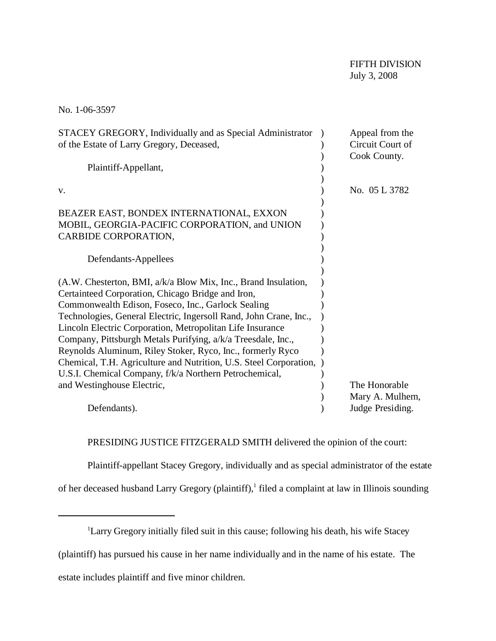| STACEY GREGORY, Individually and as Special Administrator<br>of the Estate of Larry Gregory, Deceased,                                                                                                                                                                                                                                                                                                                                                                                                                                                                                                 | Appeal from the<br>Circuit Court of<br>Cook County. |
|--------------------------------------------------------------------------------------------------------------------------------------------------------------------------------------------------------------------------------------------------------------------------------------------------------------------------------------------------------------------------------------------------------------------------------------------------------------------------------------------------------------------------------------------------------------------------------------------------------|-----------------------------------------------------|
| Plaintiff-Appellant,                                                                                                                                                                                                                                                                                                                                                                                                                                                                                                                                                                                   |                                                     |
| V.                                                                                                                                                                                                                                                                                                                                                                                                                                                                                                                                                                                                     | No. 05 L 3782                                       |
| BEAZER EAST, BONDEX INTERNATIONAL, EXXON<br>MOBIL, GEORGIA-PACIFIC CORPORATION, and UNION<br>CARBIDE CORPORATION,                                                                                                                                                                                                                                                                                                                                                                                                                                                                                      |                                                     |
| Defendants-Appellees                                                                                                                                                                                                                                                                                                                                                                                                                                                                                                                                                                                   |                                                     |
| (A.W. Chesterton, BMI, a/k/a Blow Mix, Inc., Brand Insulation,<br>Certainteed Corporation, Chicago Bridge and Iron,<br>Commonwealth Edison, Foseco, Inc., Garlock Sealing<br>Technologies, General Electric, Ingersoll Rand, John Crane, Inc.,<br>Lincoln Electric Corporation, Metropolitan Life Insurance<br>Company, Pittsburgh Metals Purifying, a/k/a Treesdale, Inc.,<br>Reynolds Aluminum, Riley Stoker, Ryco, Inc., formerly Ryco<br>Chemical, T.H. Agriculture and Nutrition, U.S. Steel Corporation,<br>U.S.I. Chemical Company, f/k/a Northern Petrochemical,<br>and Westinghouse Electric, | The Honorable                                       |
|                                                                                                                                                                                                                                                                                                                                                                                                                                                                                                                                                                                                        | Mary A. Mulhern,                                    |
| Defendants).                                                                                                                                                                                                                                                                                                                                                                                                                                                                                                                                                                                           | Judge Presiding.                                    |

PRESIDING JUSTICE FITZGERALD SMITH delivered the opinion of the court:

Plaintiff-appellant Stacey Gregory, individually and as special administrator of the estate of her deceased husband Larry Gregory (plaintiff),<sup>1</sup> filed a complaint at law in Illinois sounding

<sup>1</sup>Larry Gregory initially filed suit in this cause; following his death, his wife Stacey (plaintiff) has pursued his cause in her name individually and in the name of his estate. The estate includes plaintiff and five minor children.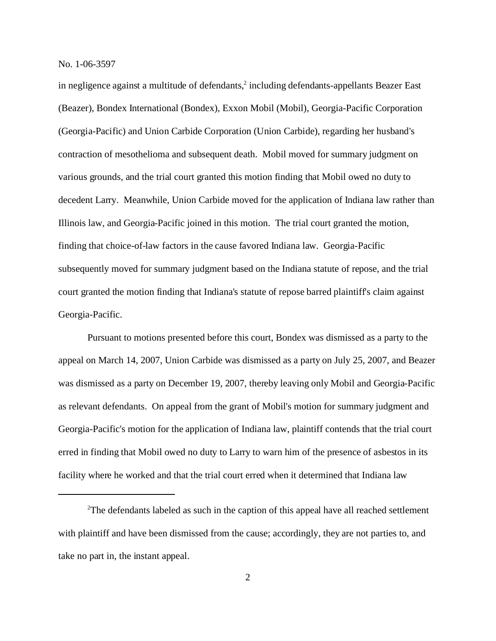in negligence against a multitude of defendants, $^2$  including defendants-appellants Beazer East (Beazer), Bondex International (Bondex), Exxon Mobil (Mobil), Georgia-Pacific Corporation (Georgia-Pacific) and Union Carbide Corporation (Union Carbide), regarding her husband's contraction of mesothelioma and subsequent death. Mobil moved for summary judgment on various grounds, and the trial court granted this motion finding that Mobil owed no duty to decedent Larry. Meanwhile, Union Carbide moved for the application of Indiana law rather than Illinois law, and Georgia-Pacific joined in this motion. The trial court granted the motion, finding that choice-of-law factors in the cause favored Indiana law. Georgia-Pacific subsequently moved for summary judgment based on the Indiana statute of repose, and the trial court granted the motion finding that Indiana's statute of repose barred plaintiff's claim against Georgia-Pacific.

Pursuant to motions presented before this court, Bondex was dismissed as a party to the appeal on March 14, 2007, Union Carbide was dismissed as a party on July 25, 2007, and Beazer was dismissed as a party on December 19, 2007, thereby leaving only Mobil and Georgia-Pacific as relevant defendants. On appeal from the grant of Mobil's motion for summary judgment and Georgia-Pacific's motion for the application of Indiana law, plaintiff contends that the trial court erred in finding that Mobil owed no duty to Larry to warn him of the presence of asbestos in its facility where he worked and that the trial court erred when it determined that Indiana law

<sup>&</sup>lt;sup>2</sup>The defendants labeled as such in the caption of this appeal have all reached settlement with plaintiff and have been dismissed from the cause; accordingly, they are not parties to, and take no part in, the instant appeal.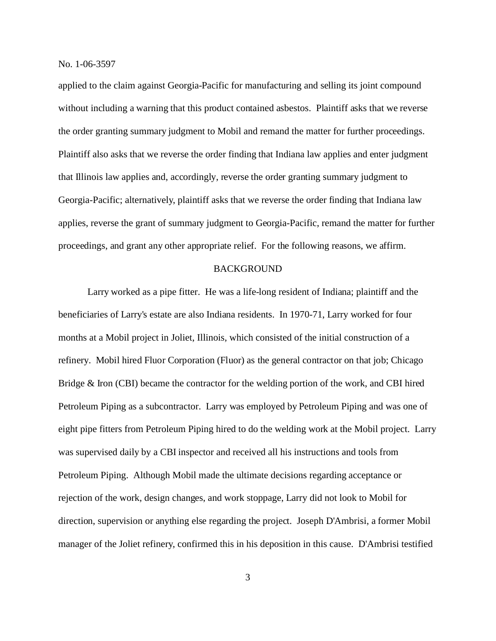applied to the claim against Georgia-Pacific for manufacturing and selling its joint compound without including a warning that this product contained asbestos. Plaintiff asks that we reverse the order granting summary judgment to Mobil and remand the matter for further proceedings. Plaintiff also asks that we reverse the order finding that Indiana law applies and enter judgment that Illinois law applies and, accordingly, reverse the order granting summary judgment to Georgia-Pacific; alternatively, plaintiff asks that we reverse the order finding that Indiana law applies, reverse the grant of summary judgment to Georgia-Pacific, remand the matter for further proceedings, and grant any other appropriate relief. For the following reasons, we affirm.

# BACKGROUND

Larry worked as a pipe fitter. He was a life-long resident of Indiana; plaintiff and the beneficiaries of Larry's estate are also Indiana residents. In 1970-71, Larry worked for four months at a Mobil project in Joliet, Illinois, which consisted of the initial construction of a refinery. Mobil hired Fluor Corporation (Fluor) as the general contractor on that job; Chicago Bridge & Iron (CBI) became the contractor for the welding portion of the work, and CBI hired Petroleum Piping as a subcontractor. Larry was employed by Petroleum Piping and was one of eight pipe fitters from Petroleum Piping hired to do the welding work at the Mobil project. Larry was supervised daily by a CBI inspector and received all his instructions and tools from Petroleum Piping. Although Mobil made the ultimate decisions regarding acceptance or rejection of the work, design changes, and work stoppage, Larry did not look to Mobil for direction, supervision or anything else regarding the project. Joseph D'Ambrisi, a former Mobil manager of the Joliet refinery, confirmed this in his deposition in this cause. D'Ambrisi testified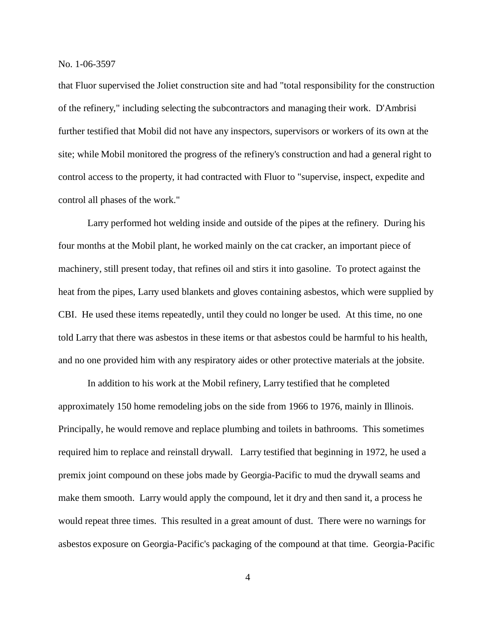that Fluor supervised the Joliet construction site and had "total responsibility for the construction of the refinery," including selecting the subcontractors and managing their work. D'Ambrisi further testified that Mobil did not have any inspectors, supervisors or workers of its own at the site; while Mobil monitored the progress of the refinery's construction and had a general right to control access to the property, it had contracted with Fluor to "supervise, inspect, expedite and control all phases of the work."

Larry performed hot welding inside and outside of the pipes at the refinery. During his four months at the Mobil plant, he worked mainly on the cat cracker, an important piece of machinery, still present today, that refines oil and stirs it into gasoline. To protect against the heat from the pipes, Larry used blankets and gloves containing asbestos, which were supplied by CBI. He used these items repeatedly, until they could no longer be used. At this time, no one told Larry that there was asbestos in these items or that asbestos could be harmful to his health, and no one provided him with any respiratory aides or other protective materials at the jobsite.

In addition to his work at the Mobil refinery, Larry testified that he completed approximately 150 home remodeling jobs on the side from 1966 to 1976, mainly in Illinois. Principally, he would remove and replace plumbing and toilets in bathrooms. This sometimes required him to replace and reinstall drywall. Larry testified that beginning in 1972, he used a premix joint compound on these jobs made by Georgia-Pacific to mud the drywall seams and make them smooth. Larry would apply the compound, let it dry and then sand it, a process he would repeat three times. This resulted in a great amount of dust. There were no warnings for asbestos exposure on Georgia-Pacific's packaging of the compound at that time. Georgia-Pacific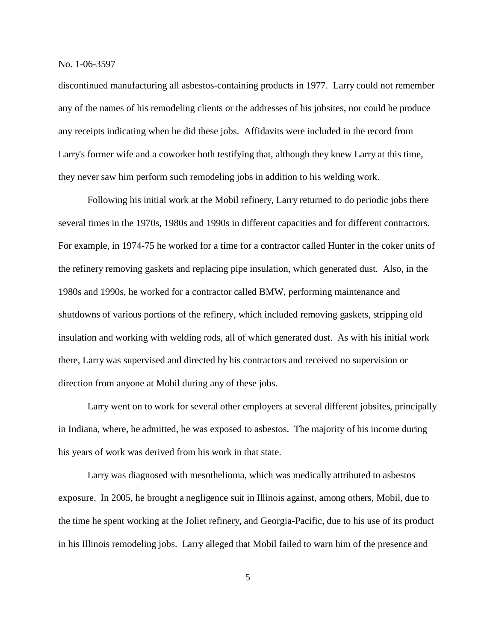discontinued manufacturing all asbestos-containing products in 1977. Larry could not remember any of the names of his remodeling clients or the addresses of his jobsites, nor could he produce any receipts indicating when he did these jobs. Affidavits were included in the record from Larry's former wife and a coworker both testifying that, although they knew Larry at this time, they never saw him perform such remodeling jobs in addition to his welding work.

Following his initial work at the Mobil refinery, Larry returned to do periodic jobs there several times in the 1970s, 1980s and 1990s in different capacities and for different contractors. For example, in 1974-75 he worked for a time for a contractor called Hunter in the coker units of the refinery removing gaskets and replacing pipe insulation, which generated dust. Also, in the 1980s and 1990s, he worked for a contractor called BMW, performing maintenance and shutdowns of various portions of the refinery, which included removing gaskets, stripping old insulation and working with welding rods, all of which generated dust. As with his initial work there, Larry was supervised and directed by his contractors and received no supervision or direction from anyone at Mobil during any of these jobs.

Larry went on to work for several other employers at several different jobsites, principally in Indiana, where, he admitted, he was exposed to asbestos. The majority of his income during his years of work was derived from his work in that state.

Larry was diagnosed with mesothelioma, which was medically attributed to asbestos exposure. In 2005, he brought a negligence suit in Illinois against, among others, Mobil, due to the time he spent working at the Joliet refinery, and Georgia-Pacific, due to his use of its product in his Illinois remodeling jobs. Larry alleged that Mobil failed to warn him of the presence and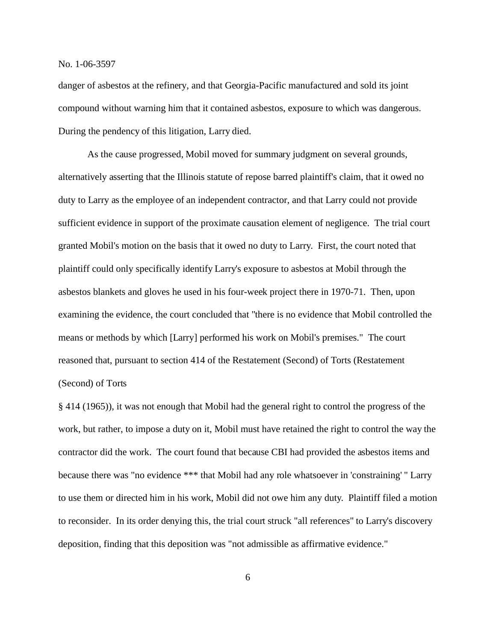danger of asbestos at the refinery, and that Georgia-Pacific manufactured and sold its joint compound without warning him that it contained asbestos, exposure to which was dangerous. During the pendency of this litigation, Larry died.

As the cause progressed, Mobil moved for summary judgment on several grounds, alternatively asserting that the Illinois statute of repose barred plaintiff's claim, that it owed no duty to Larry as the employee of an independent contractor, and that Larry could not provide sufficient evidence in support of the proximate causation element of negligence. The trial court granted Mobil's motion on the basis that it owed no duty to Larry. First, the court noted that plaintiff could only specifically identify Larry's exposure to asbestos at Mobil through the asbestos blankets and gloves he used in his four-week project there in 1970-71. Then, upon examining the evidence, the court concluded that "there is no evidence that Mobil controlled the means or methods by which [Larry] performed his work on Mobil's premises." The court reasoned that, pursuant to section 414 of the Restatement (Second) of Torts (Restatement (Second) of Torts

§ 414 (1965)), it was not enough that Mobil had the general right to control the progress of the work, but rather, to impose a duty on it, Mobil must have retained the right to control the way the contractor did the work. The court found that because CBI had provided the asbestos items and because there was "no evidence \*\*\* that Mobil had any role whatsoever in 'constraining' " Larry to use them or directed him in his work, Mobil did not owe him any duty. Plaintiff filed a motion to reconsider. In its order denying this, the trial court struck "all references" to Larry's discovery deposition, finding that this deposition was "not admissible as affirmative evidence."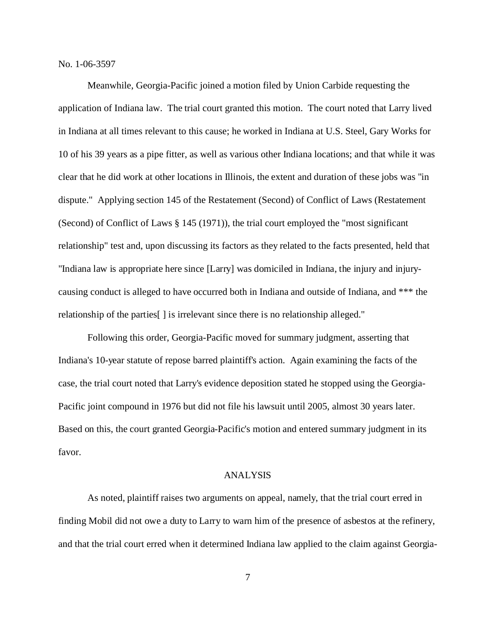Meanwhile, Georgia-Pacific joined a motion filed by Union Carbide requesting the application of Indiana law. The trial court granted this motion. The court noted that Larry lived in Indiana at all times relevant to this cause; he worked in Indiana at U.S. Steel, Gary Works for 10 of his 39 years as a pipe fitter, as well as various other Indiana locations; and that while it was clear that he did work at other locations in Illinois, the extent and duration of these jobs was "in dispute." Applying section 145 of the Restatement (Second) of Conflict of Laws (Restatement (Second) of Conflict of Laws § 145 (1971)), the trial court employed the "most significant relationship" test and, upon discussing its factors as they related to the facts presented, held that "Indiana law is appropriate here since [Larry] was domiciled in Indiana, the injury and injurycausing conduct is alleged to have occurred both in Indiana and outside of Indiana, and \*\*\* the relationship of the parties[ ] is irrelevant since there is no relationship alleged."

Following this order, Georgia-Pacific moved for summary judgment, asserting that Indiana's 10-year statute of repose barred plaintiff's action. Again examining the facts of the case, the trial court noted that Larry's evidence deposition stated he stopped using the Georgia-Pacific joint compound in 1976 but did not file his lawsuit until 2005, almost 30 years later. Based on this, the court granted Georgia-Pacific's motion and entered summary judgment in its favor.

### ANALYSIS

As noted, plaintiff raises two arguments on appeal, namely, that the trial court erred in finding Mobil did not owe a duty to Larry to warn him of the presence of asbestos at the refinery, and that the trial court erred when it determined Indiana law applied to the claim against Georgia-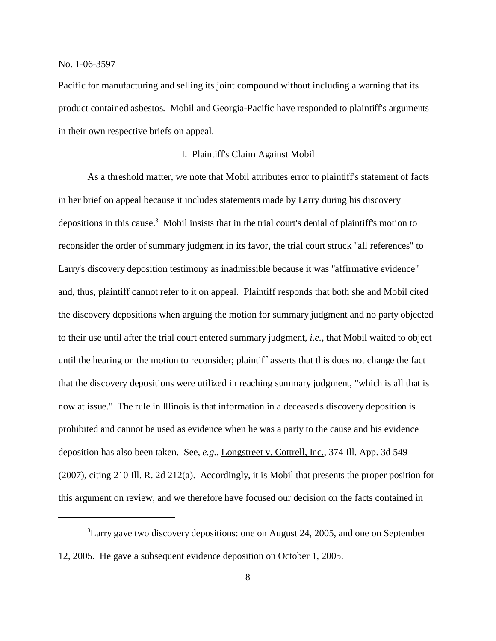Pacific for manufacturing and selling its joint compound without including a warning that its product contained asbestos. Mobil and Georgia-Pacific have responded to plaintiff's arguments in their own respective briefs on appeal.

#### I. Plaintiff's Claim Against Mobil

As a threshold matter, we note that Mobil attributes error to plaintiff's statement of facts in her brief on appeal because it includes statements made by Larry during his discovery depositions in this cause.<sup>3</sup> Mobil insists that in the trial court's denial of plaintiff's motion to reconsider the order of summary judgment in its favor, the trial court struck "all references" to Larry's discovery deposition testimony as inadmissible because it was "affirmative evidence" and, thus, plaintiff cannot refer to it on appeal. Plaintiff responds that both she and Mobil cited the discovery depositions when arguing the motion for summary judgment and no party objected to their use until after the trial court entered summary judgment, *i.e.*, that Mobil waited to object until the hearing on the motion to reconsider; plaintiff asserts that this does not change the fact that the discovery depositions were utilized in reaching summary judgment, "which is all that is now at issue." The rule in Illinois is that information in a deceased's discovery deposition is prohibited and cannot be used as evidence when he was a party to the cause and his evidence deposition has also been taken. See, *e.g.*, Longstreet v. Cottrell, Inc., 374 Ill. App. 3d 549 (2007), citing 210 Ill. R. 2d 212(a). Accordingly, it is Mobil that presents the proper position for this argument on review, and we therefore have focused our decision on the facts contained in

<sup>&</sup>lt;sup>3</sup>Larry gave two discovery depositions: one on August 24, 2005, and one on September 12, 2005. He gave a subsequent evidence deposition on October 1, 2005.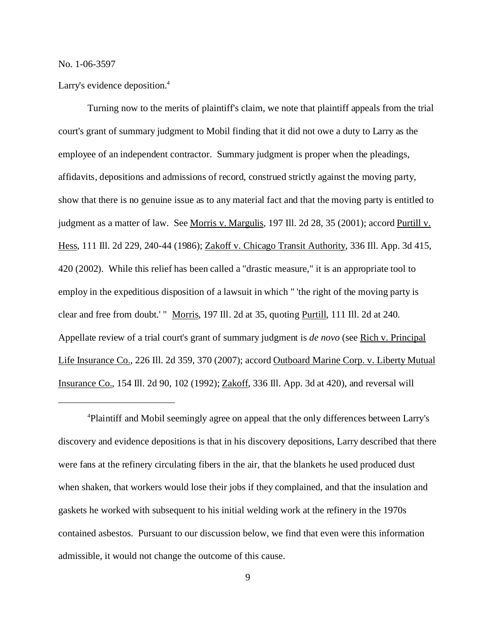Larry's evidence deposition.<sup>4</sup>

Turning now to the merits of plaintiff's claim, we note that plaintiff appeals from the trial court's grant of summary judgment to Mobil finding that it did not owe a duty to Larry as the employee of an independent contractor. Summary judgment is proper when the pleadings, affidavits, depositions and admissions of record, construed strictly against the moving party, show that there is no genuine issue as to any material fact and that the moving party is entitled to judgment as a matter of law. See Morris v. Margulis, 197 Ill. 2d 28, 35 (2001); accord Purtill v. Hess, 111 Ill. 2d 229, 240-44 (1986); Zakoff v. Chicago Transit Authority, 336 Ill. App. 3d 415, 420 (2002). While this relief has been called a "drastic measure," it is an appropriate tool to employ in the expeditious disposition of a lawsuit in which " 'the right of the moving party is clear and free from doubt.' " Morris, 197 Ill. 2d at 35, quoting Purtill, 111 Ill. 2d at 240. Appellate review of a trial court's grant of summary judgment is *de novo* (see Rich v. Principal Life Insurance Co., 226 Ill. 2d 359, 370 (2007); accord Outboard Marine Corp. v. Liberty Mutual Insurance Co., 154 Ill. 2d 90, 102 (1992); Zakoff, 336 Ill. App. 3d at 420), and reversal will

<sup>4</sup>Plaintiff and Mobil seemingly agree on appeal that the only differences between Larry's discovery and evidence depositions is that in his discovery depositions, Larry described that there were fans at the refinery circulating fibers in the air, that the blankets he used produced dust when shaken, that workers would lose their jobs if they complained, and that the insulation and gaskets he worked with subsequent to his initial welding work at the refinery in the 1970s contained asbestos. Pursuant to our discussion below, we find that even were this information admissible, it would not change the outcome of this cause.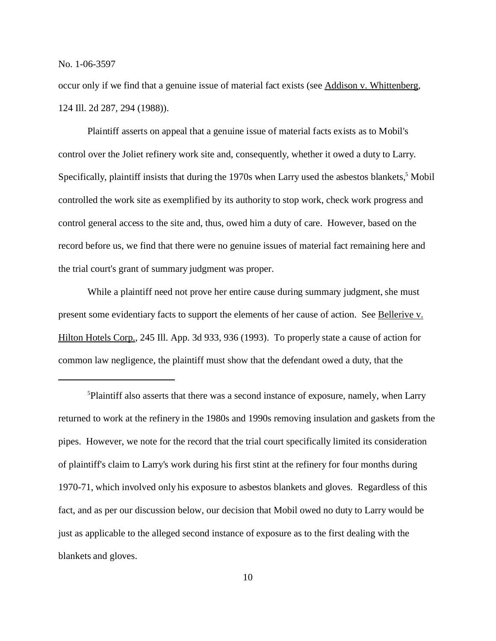occur only if we find that a genuine issue of material fact exists (see Addison v. Whittenberg, 124 Ill. 2d 287, 294 (1988)).

Plaintiff asserts on appeal that a genuine issue of material facts exists as to Mobil's control over the Joliet refinery work site and, consequently, whether it owed a duty to Larry. Specifically, plaintiff insists that during the 1970s when Larry used the asbestos blankets,<sup>5</sup> Mobil controlled the work site as exemplified by its authority to stop work, check work progress and control general access to the site and, thus, owed him a duty of care. However, based on the record before us, we find that there were no genuine issues of material fact remaining here and the trial court's grant of summary judgment was proper.

While a plaintiff need not prove her entire cause during summary judgment, she must present some evidentiary facts to support the elements of her cause of action. See Bellerive v. Hilton Hotels Corp., 245 Ill. App. 3d 933, 936 (1993). To properly state a cause of action for common law negligence, the plaintiff must show that the defendant owed a duty, that the

<sup>5</sup>Plaintiff also asserts that there was a second instance of exposure, namely, when Larry returned to work at the refinery in the 1980s and 1990s removing insulation and gaskets from the pipes. However, we note for the record that the trial court specifically limited its consideration of plaintiff's claim to Larry's work during his first stint at the refinery for four months during 1970-71, which involved only his exposure to asbestos blankets and gloves. Regardless of this fact, and as per our discussion below, our decision that Mobil owed no duty to Larry would be just as applicable to the alleged second instance of exposure as to the first dealing with the blankets and gloves.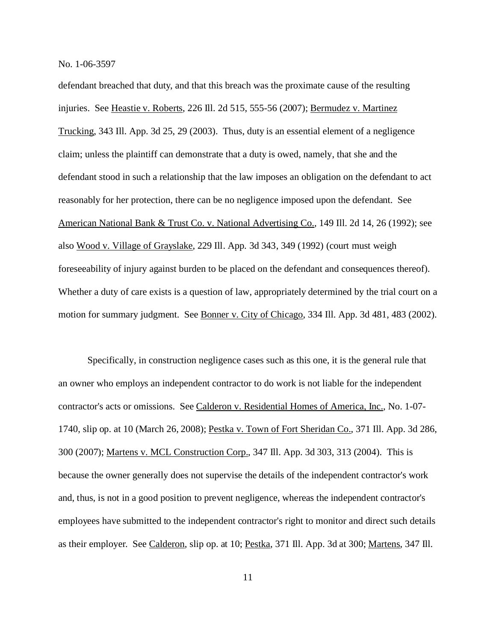defendant breached that duty, and that this breach was the proximate cause of the resulting injuries. See Heastie v. Roberts, 226 Ill. 2d 515, 555-56 (2007); Bermudez v. Martinez Trucking, 343 Ill. App. 3d 25, 29 (2003). Thus, duty is an essential element of a negligence claim; unless the plaintiff can demonstrate that a duty is owed, namely, that she and the defendant stood in such a relationship that the law imposes an obligation on the defendant to act reasonably for her protection, there can be no negligence imposed upon the defendant. See American National Bank & Trust Co. v. National Advertising Co., 149 Ill. 2d 14, 26 (1992); see also Wood v. Village of Grayslake, 229 Ill. App. 3d 343, 349 (1992) (court must weigh foreseeability of injury against burden to be placed on the defendant and consequences thereof). Whether a duty of care exists is a question of law, appropriately determined by the trial court on a motion for summary judgment. See Bonner v. City of Chicago, 334 Ill. App. 3d 481, 483 (2002).

Specifically, in construction negligence cases such as this one, it is the general rule that an owner who employs an independent contractor to do work is not liable for the independent contractor's acts or omissions. See Calderon v. Residential Homes of America, Inc., No. 1-07- 1740, slip op. at 10 (March 26, 2008); Pestka v. Town of Fort Sheridan Co., 371 Ill. App. 3d 286, 300 (2007); Martens v. MCL Construction Corp., 347 Ill. App. 3d 303, 313 (2004). This is because the owner generally does not supervise the details of the independent contractor's work and, thus, is not in a good position to prevent negligence, whereas the independent contractor's employees have submitted to the independent contractor's right to monitor and direct such details as their employer. See Calderon, slip op. at 10; Pestka, 371 Ill. App. 3d at 300; Martens, 347 Ill.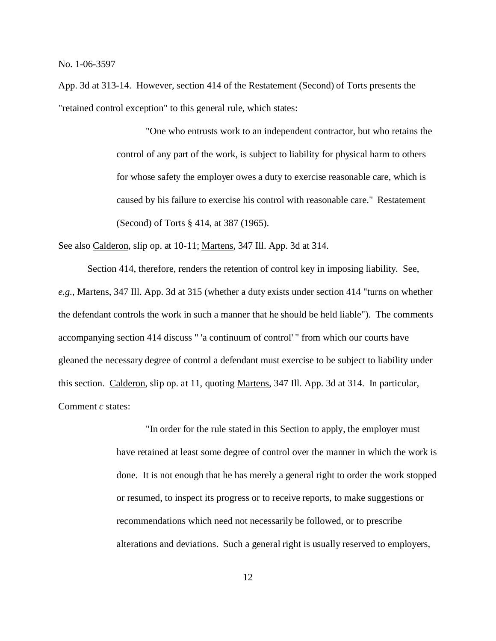App. 3d at 313-14. However, section 414 of the Restatement (Second) of Torts presents the "retained control exception" to this general rule, which states:

> "One who entrusts work to an independent contractor, but who retains the control of any part of the work, is subject to liability for physical harm to others for whose safety the employer owes a duty to exercise reasonable care, which is caused by his failure to exercise his control with reasonable care." Restatement (Second) of Torts § 414, at 387 (1965).

See also Calderon, slip op. at 10-11; Martens, 347 Ill. App. 3d at 314.

Section 414, therefore, renders the retention of control key in imposing liability. See, *e.g.*, Martens, 347 Ill. App. 3d at 315 (whether a duty exists under section 414 "turns on whether the defendant controls the work in such a manner that he should be held liable"). The comments accompanying section 414 discuss " 'a continuum of control' " from which our courts have gleaned the necessary degree of control a defendant must exercise to be subject to liability under this section. Calderon, slip op. at 11, quoting Martens, 347 Ill. App. 3d at 314. In particular, Comment *c* states:

> "In order for the rule stated in this Section to apply, the employer must have retained at least some degree of control over the manner in which the work is done. It is not enough that he has merely a general right to order the work stopped or resumed, to inspect its progress or to receive reports, to make suggestions or recommendations which need not necessarily be followed, or to prescribe alterations and deviations. Such a general right is usually reserved to employers,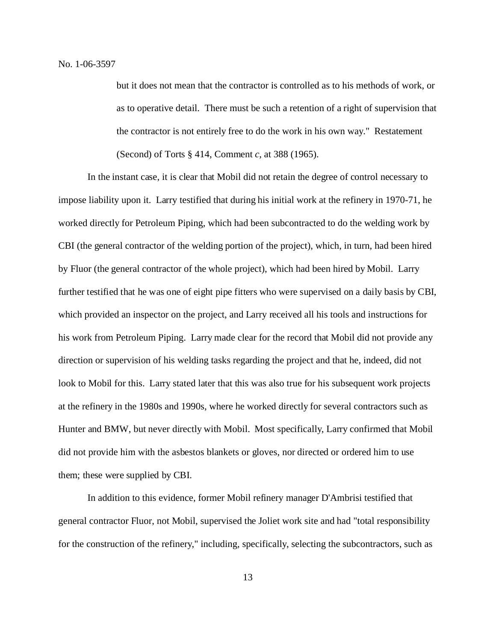but it does not mean that the contractor is controlled as to his methods of work, or as to operative detail. There must be such a retention of a right of supervision that the contractor is not entirely free to do the work in his own way." Restatement (Second) of Torts § 414, Comment *c*, at 388 (1965).

In the instant case, it is clear that Mobil did not retain the degree of control necessary to impose liability upon it. Larry testified that during his initial work at the refinery in 1970-71, he worked directly for Petroleum Piping, which had been subcontracted to do the welding work by CBI (the general contractor of the welding portion of the project), which, in turn, had been hired by Fluor (the general contractor of the whole project), which had been hired by Mobil. Larry further testified that he was one of eight pipe fitters who were supervised on a daily basis by CBI, which provided an inspector on the project, and Larry received all his tools and instructions for his work from Petroleum Piping. Larry made clear for the record that Mobil did not provide any direction or supervision of his welding tasks regarding the project and that he, indeed, did not look to Mobil for this. Larry stated later that this was also true for his subsequent work projects at the refinery in the 1980s and 1990s, where he worked directly for several contractors such as Hunter and BMW, but never directly with Mobil. Most specifically, Larry confirmed that Mobil did not provide him with the asbestos blankets or gloves, nor directed or ordered him to use them; these were supplied by CBI.

In addition to this evidence, former Mobil refinery manager D'Ambrisi testified that general contractor Fluor, not Mobil, supervised the Joliet work site and had "total responsibility for the construction of the refinery," including, specifically, selecting the subcontractors, such as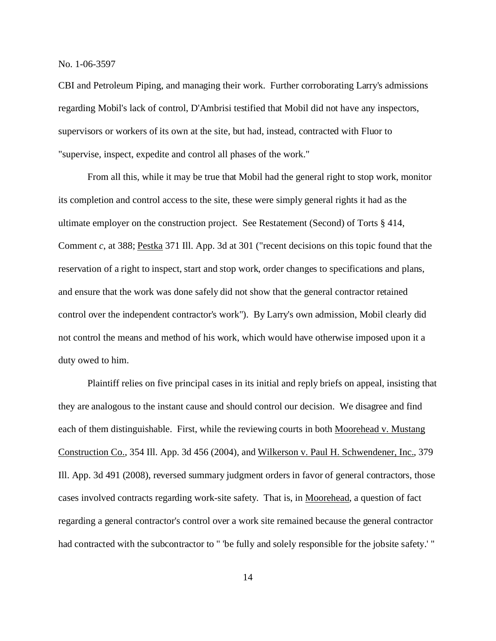CBI and Petroleum Piping, and managing their work. Further corroborating Larry's admissions regarding Mobil's lack of control, D'Ambrisi testified that Mobil did not have any inspectors, supervisors or workers of its own at the site, but had, instead, contracted with Fluor to "supervise, inspect, expedite and control all phases of the work."

From all this, while it may be true that Mobil had the general right to stop work, monitor its completion and control access to the site, these were simply general rights it had as the ultimate employer on the construction project. See Restatement (Second) of Torts § 414, Comment *c*, at 388; Pestka 371 Ill. App. 3d at 301 ("recent decisions on this topic found that the reservation of a right to inspect, start and stop work, order changes to specifications and plans, and ensure that the work was done safely did not show that the general contractor retained control over the independent contractor's work"). By Larry's own admission, Mobil clearly did not control the means and method of his work, which would have otherwise imposed upon it a duty owed to him.

Plaintiff relies on five principal cases in its initial and reply briefs on appeal, insisting that they are analogous to the instant cause and should control our decision. We disagree and find each of them distinguishable. First, while the reviewing courts in both Moorehead v. Mustang Construction Co., 354 Ill. App. 3d 456 (2004), and Wilkerson v. Paul H. Schwendener, Inc., 379 Ill. App. 3d 491 (2008), reversed summary judgment orders in favor of general contractors, those cases involved contracts regarding work-site safety. That is, in Moorehead, a question of fact regarding a general contractor's control over a work site remained because the general contractor had contracted with the subcontractor to " 'be fully and solely responsible for the jobsite safety.' "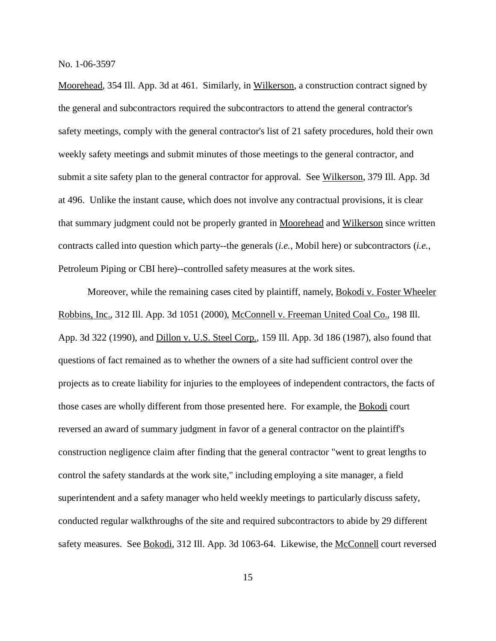Moorehead, 354 Ill. App. 3d at 461. Similarly, in Wilkerson, a construction contract signed by the general and subcontractors required the subcontractors to attend the general contractor's safety meetings, comply with the general contractor's list of 21 safety procedures, hold their own weekly safety meetings and submit minutes of those meetings to the general contractor, and submit a site safety plan to the general contractor for approval. See Wilkerson, 379 Ill. App. 3d at 496. Unlike the instant cause, which does not involve any contractual provisions, it is clear that summary judgment could not be properly granted in Moorehead and Wilkerson since written contracts called into question which party--the generals (*i.e.*, Mobil here) or subcontractors (*i.e.*, Petroleum Piping or CBI here)--controlled safety measures at the work sites.

Moreover, while the remaining cases cited by plaintiff, namely, Bokodi v. Foster Wheeler Robbins, Inc., 312 Ill. App. 3d 1051 (2000), McConnell v. Freeman United Coal Co., 198 Ill. App. 3d 322 (1990), and Dillon v. U.S. Steel Corp., 159 Ill. App. 3d 186 (1987), also found that questions of fact remained as to whether the owners of a site had sufficient control over the projects as to create liability for injuries to the employees of independent contractors, the facts of those cases are wholly different from those presented here. For example, the Bokodi court reversed an award of summary judgment in favor of a general contractor on the plaintiff's construction negligence claim after finding that the general contractor "went to great lengths to control the safety standards at the work site," including employing a site manager, a field superintendent and a safety manager who held weekly meetings to particularly discuss safety, conducted regular walkthroughs of the site and required subcontractors to abide by 29 different safety measures. See Bokodi, 312 Ill. App. 3d 1063-64. Likewise, the McConnell court reversed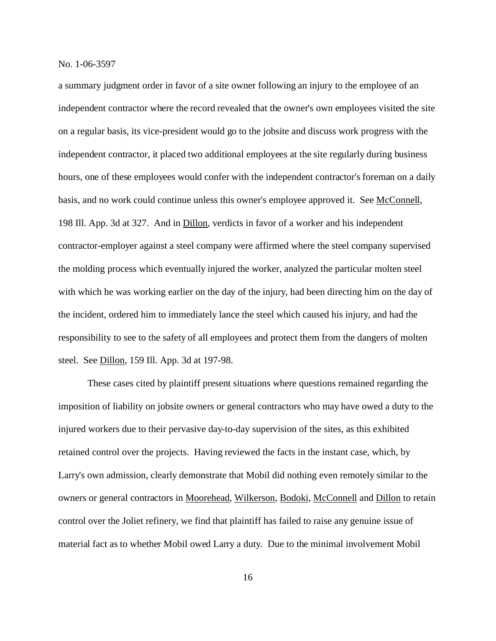a summary judgment order in favor of a site owner following an injury to the employee of an independent contractor where the record revealed that the owner's own employees visited the site on a regular basis, its vice-president would go to the jobsite and discuss work progress with the independent contractor, it placed two additional employees at the site regularly during business hours, one of these employees would confer with the independent contractor's foreman on a daily basis, and no work could continue unless this owner's employee approved it. See McConnell, 198 Ill. App. 3d at 327. And in Dillon, verdicts in favor of a worker and his independent contractor-employer against a steel company were affirmed where the steel company supervised the molding process which eventually injured the worker, analyzed the particular molten steel with which he was working earlier on the day of the injury, had been directing him on the day of the incident, ordered him to immediately lance the steel which caused his injury, and had the responsibility to see to the safety of all employees and protect them from the dangers of molten steel. See Dillon, 159 Ill. App. 3d at 197-98.

These cases cited by plaintiff present situations where questions remained regarding the imposition of liability on jobsite owners or general contractors who may have owed a duty to the injured workers due to their pervasive day-to-day supervision of the sites, as this exhibited retained control over the projects. Having reviewed the facts in the instant case, which, by Larry's own admission, clearly demonstrate that Mobil did nothing even remotely similar to the owners or general contractors in Moorehead, Wilkerson, Bodoki, McConnell and Dillon to retain control over the Joliet refinery, we find that plaintiff has failed to raise any genuine issue of material fact as to whether Mobil owed Larry a duty. Due to the minimal involvement Mobil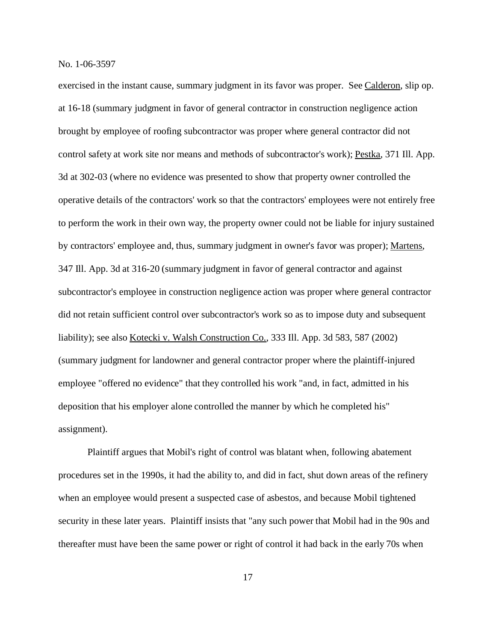exercised in the instant cause, summary judgment in its favor was proper. See Calderon, slip op. at 16-18 (summary judgment in favor of general contractor in construction negligence action brought by employee of roofing subcontractor was proper where general contractor did not control safety at work site nor means and methods of subcontractor's work); Pestka, 371 Ill. App. 3d at 302-03 (where no evidence was presented to show that property owner controlled the operative details of the contractors' work so that the contractors' employees were not entirely free to perform the work in their own way, the property owner could not be liable for injury sustained by contractors' employee and, thus, summary judgment in owner's favor was proper); Martens, 347 Ill. App. 3d at 316-20 (summary judgment in favor of general contractor and against subcontractor's employee in construction negligence action was proper where general contractor did not retain sufficient control over subcontractor's work so as to impose duty and subsequent liability); see also <u>Kotecki v. Walsh Construction Co.</u>, 333 Ill. App. 3d 583, 587 (2002) (summary judgment for landowner and general contractor proper where the plaintiff-injured employee "offered no evidence" that they controlled his work "and, in fact, admitted in his deposition that his employer alone controlled the manner by which he completed his" assignment).

Plaintiff argues that Mobil's right of control was blatant when, following abatement procedures set in the 1990s, it had the ability to, and did in fact, shut down areas of the refinery when an employee would present a suspected case of asbestos, and because Mobil tightened security in these later years. Plaintiff insists that "any such power that Mobil had in the 90s and thereafter must have been the same power or right of control it had back in the early 70s when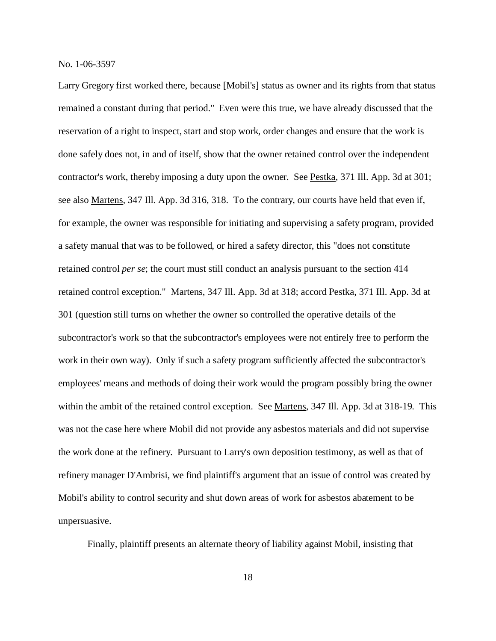Larry Gregory first worked there, because [Mobil's] status as owner and its rights from that status remained a constant during that period." Even were this true, we have already discussed that the reservation of a right to inspect, start and stop work, order changes and ensure that the work is done safely does not, in and of itself, show that the owner retained control over the independent contractor's work, thereby imposing a duty upon the owner. See Pestka, 371 Ill. App. 3d at 301; see also Martens, 347 Ill. App. 3d 316, 318. To the contrary, our courts have held that even if, for example, the owner was responsible for initiating and supervising a safety program, provided a safety manual that was to be followed, or hired a safety director, this "does not constitute retained control *per se*; the court must still conduct an analysis pursuant to the section 414 retained control exception." Martens, 347 Ill. App. 3d at 318; accord Pestka, 371 Ill. App. 3d at 301 (question still turns on whether the owner so controlled the operative details of the subcontractor's work so that the subcontractor's employees were not entirely free to perform the work in their own way). Only if such a safety program sufficiently affected the subcontractor's employees' means and methods of doing their work would the program possibly bring the owner within the ambit of the retained control exception. See Martens, 347 Ill. App. 3d at 318-19. This was not the case here where Mobil did not provide any asbestos materials and did not supervise the work done at the refinery. Pursuant to Larry's own deposition testimony, as well as that of refinery manager D'Ambrisi, we find plaintiff's argument that an issue of control was created by Mobil's ability to control security and shut down areas of work for asbestos abatement to be unpersuasive.

Finally, plaintiff presents an alternate theory of liability against Mobil, insisting that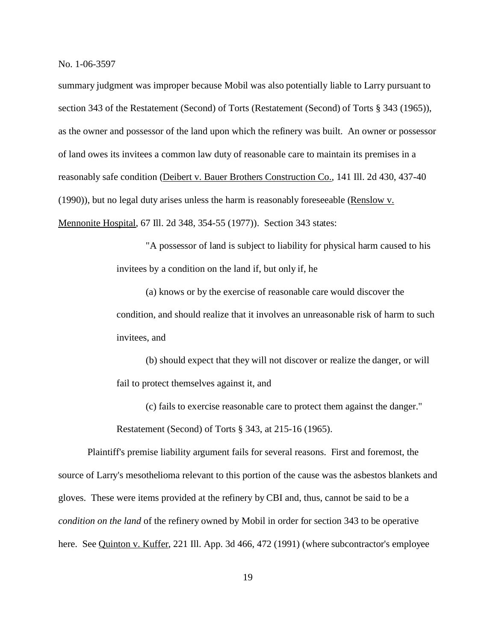summary judgment was improper because Mobil was also potentially liable to Larry pursuant to section 343 of the Restatement (Second) of Torts (Restatement (Second) of Torts § 343 (1965)), as the owner and possessor of the land upon which the refinery was built. An owner or possessor of land owes its invitees a common law duty of reasonable care to maintain its premises in a reasonably safe condition (Deibert v. Bauer Brothers Construction Co., 141 Ill. 2d 430, 437-40 (1990)), but no legal duty arises unless the harm is reasonably foreseeable (Renslow v. Mennonite Hospital, 67 Ill. 2d 348, 354-55 (1977)). Section 343 states:

> "A possessor of land is subject to liability for physical harm caused to his invitees by a condition on the land if, but only if, he

(a) knows or by the exercise of reasonable care would discover the condition, and should realize that it involves an unreasonable risk of harm to such invitees, and

(b) should expect that they will not discover or realize the danger, or will fail to protect themselves against it, and

(c) fails to exercise reasonable care to protect them against the danger." Restatement (Second) of Torts § 343, at 215-16 (1965).

Plaintiff's premise liability argument fails for several reasons. First and foremost, the source of Larry's mesothelioma relevant to this portion of the cause was the asbestos blankets and gloves. These were items provided at the refinery by CBI and, thus, cannot be said to be a *condition on the land* of the refinery owned by Mobil in order for section 343 to be operative here. See Quinton v. Kuffer, 221 Ill. App. 3d 466, 472 (1991) (where subcontractor's employee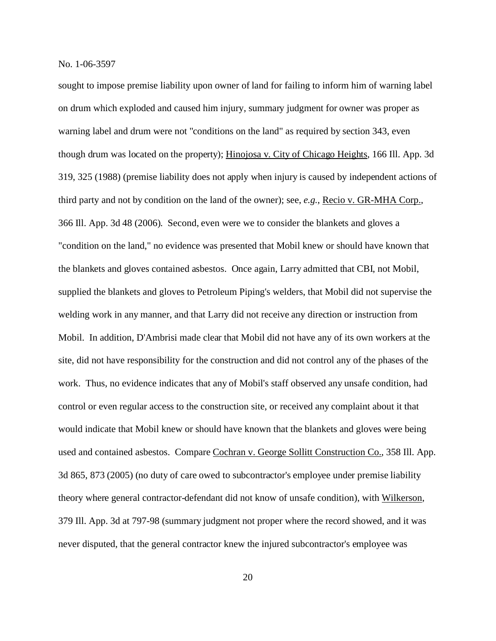sought to impose premise liability upon owner of land for failing to inform him of warning label on drum which exploded and caused him injury, summary judgment for owner was proper as warning label and drum were not "conditions on the land" as required by section 343, even though drum was located on the property); Hinojosa v. City of Chicago Heights, 166 Ill. App. 3d 319, 325 (1988) (premise liability does not apply when injury is caused by independent actions of third party and not by condition on the land of the owner); see, *e.g.*, Recio v. GR-MHA Corp., 366 Ill. App. 3d 48 (2006). Second, even were we to consider the blankets and gloves a "condition on the land," no evidence was presented that Mobil knew or should have known that the blankets and gloves contained asbestos. Once again, Larry admitted that CBI, not Mobil, supplied the blankets and gloves to Petroleum Piping's welders, that Mobil did not supervise the welding work in any manner, and that Larry did not receive any direction or instruction from Mobil. In addition, D'Ambrisi made clear that Mobil did not have any of its own workers at the site, did not have responsibility for the construction and did not control any of the phases of the work. Thus, no evidence indicates that any of Mobil's staff observed any unsafe condition, had control or even regular access to the construction site, or received any complaint about it that would indicate that Mobil knew or should have known that the blankets and gloves were being used and contained asbestos. Compare Cochran v. George Sollitt Construction Co., 358 Ill. App. 3d 865, 873 (2005) (no duty of care owed to subcontractor's employee under premise liability theory where general contractor-defendant did not know of unsafe condition), with Wilkerson, 379 Ill. App. 3d at 797-98 (summary judgment not proper where the record showed, and it was never disputed, that the general contractor knew the injured subcontractor's employee was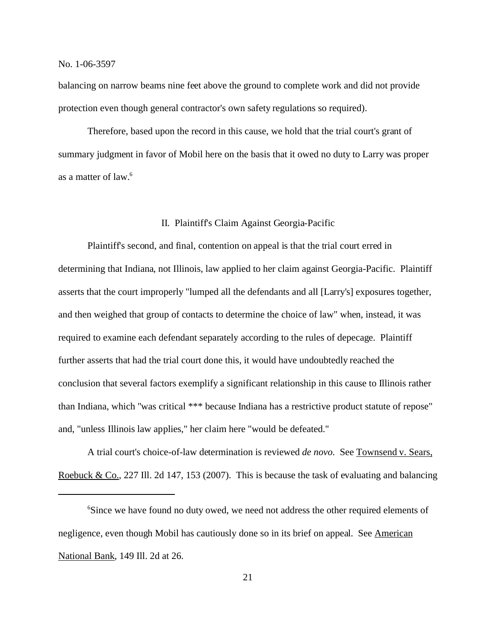balancing on narrow beams nine feet above the ground to complete work and did not provide protection even though general contractor's own safety regulations so required).

Therefore, based upon the record in this cause, we hold that the trial court's grant of summary judgment in favor of Mobil here on the basis that it owed no duty to Larry was proper as a matter of law.<sup>6</sup>

# II. Plaintiff's Claim Against Georgia-Pacific

Plaintiff's second, and final, contention on appeal is that the trial court erred in determining that Indiana, not Illinois, law applied to her claim against Georgia-Pacific. Plaintiff asserts that the court improperly "lumped all the defendants and all [Larry's] exposures together, and then weighed that group of contacts to determine the choice of law" when, instead, it was required to examine each defendant separately according to the rules of depecage. Plaintiff further asserts that had the trial court done this, it would have undoubtedly reached the conclusion that several factors exemplify a significant relationship in this cause to Illinois rather than Indiana, which "was critical \*\*\* because Indiana has a restrictive product statute of repose" and, "unless Illinois law applies," her claim here "would be defeated."

A trial court's choice-of-law determination is reviewed *de novo*. See Townsend v. Sears, Roebuck & Co., 227 Ill. 2d 147, 153 (2007). This is because the task of evaluating and balancing

<sup>6</sup>Since we have found no duty owed, we need not address the other required elements of negligence, even though Mobil has cautiously done so in its brief on appeal. See American National Bank, 149 Ill. 2d at 26.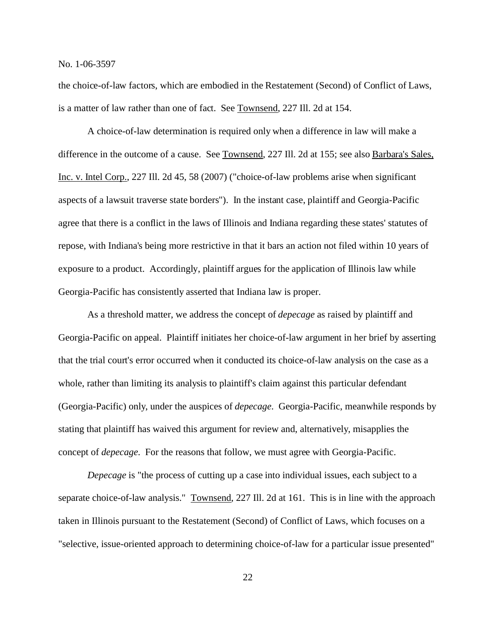the choice-of-law factors, which are embodied in the Restatement (Second) of Conflict of Laws, is a matter of law rather than one of fact. See Townsend, 227 Ill. 2d at 154.

A choice-of-law determination is required only when a difference in law will make a difference in the outcome of a cause. See Townsend, 227 Ill. 2d at 155; see also Barbara's Sales, Inc. v. Intel Corp., 227 Ill. 2d 45, 58 (2007) ("choice-of-law problems arise when significant aspects of a lawsuit traverse state borders"). In the instant case, plaintiff and Georgia-Pacific agree that there is a conflict in the laws of Illinois and Indiana regarding these states' statutes of repose, with Indiana's being more restrictive in that it bars an action not filed within 10 years of exposure to a product. Accordingly, plaintiff argues for the application of Illinois law while Georgia-Pacific has consistently asserted that Indiana law is proper.

As a threshold matter, we address the concept of *depecage* as raised by plaintiff and Georgia-Pacific on appeal. Plaintiff initiates her choice-of-law argument in her brief by asserting that the trial court's error occurred when it conducted its choice-of-law analysis on the case as a whole, rather than limiting its analysis to plaintiff's claim against this particular defendant (Georgia-Pacific) only, under the auspices of *depecage*. Georgia-Pacific, meanwhile responds by stating that plaintiff has waived this argument for review and, alternatively, misapplies the concept of *depecage*. For the reasons that follow, we must agree with Georgia-Pacific.

*Depecage* is "the process of cutting up a case into individual issues, each subject to a separate choice-of-law analysis." Townsend, 227 Ill. 2d at 161. This is in line with the approach taken in Illinois pursuant to the Restatement (Second) of Conflict of Laws, which focuses on a "selective, issue-oriented approach to determining choice-of-law for a particular issue presented"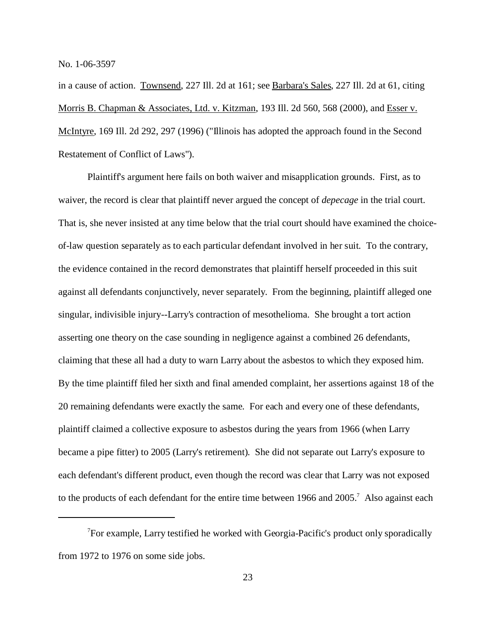in a cause of action. Townsend, 227 Ill. 2d at 161; see Barbara's Sales, 227 Ill. 2d at 61, citing Morris B. Chapman & Associates, Ltd. v. Kitzman, 193 Ill. 2d 560, 568 (2000), and Esser v. McIntyre, 169 Ill. 2d 292, 297 (1996) ("Illinois has adopted the approach found in the Second Restatement of Conflict of Laws").

Plaintiff's argument here fails on both waiver and misapplication grounds. First, as to waiver, the record is clear that plaintiff never argued the concept of *depecage* in the trial court. That is, she never insisted at any time below that the trial court should have examined the choiceof-law question separately as to each particular defendant involved in her suit. To the contrary, the evidence contained in the record demonstrates that plaintiff herself proceeded in this suit against all defendants conjunctively, never separately. From the beginning, plaintiff alleged one singular, indivisible injury--Larry's contraction of mesothelioma. She brought a tort action asserting one theory on the case sounding in negligence against a combined 26 defendants, claiming that these all had a duty to warn Larry about the asbestos to which they exposed him. By the time plaintiff filed her sixth and final amended complaint, her assertions against 18 of the 20 remaining defendants were exactly the same. For each and every one of these defendants, plaintiff claimed a collective exposure to asbestos during the years from 1966 (when Larry became a pipe fitter) to 2005 (Larry's retirement). She did not separate out Larry's exposure to each defendant's different product, even though the record was clear that Larry was not exposed to the products of each defendant for the entire time between 1966 and 2005.<sup>7</sup> Also against each

<sup>&</sup>lt;sup>7</sup>For example, Larry testified he worked with Georgia-Pacific's product only sporadically from 1972 to 1976 on some side jobs.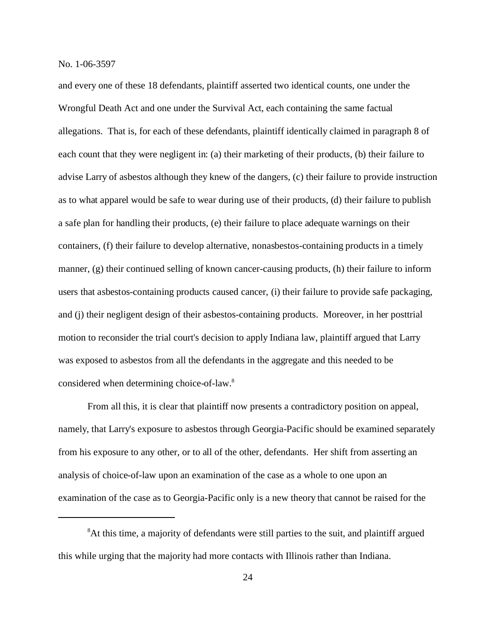and every one of these 18 defendants, plaintiff asserted two identical counts, one under the Wrongful Death Act and one under the Survival Act, each containing the same factual allegations. That is, for each of these defendants, plaintiff identically claimed in paragraph 8 of each count that they were negligent in: (a) their marketing of their products, (b) their failure to advise Larry of asbestos although they knew of the dangers, (c) their failure to provide instruction as to what apparel would be safe to wear during use of their products, (d) their failure to publish a safe plan for handling their products, (e) their failure to place adequate warnings on their containers, (f) their failure to develop alternative, nonasbestos-containing products in a timely manner, (g) their continued selling of known cancer-causing products, (h) their failure to inform users that asbestos-containing products caused cancer, (i) their failure to provide safe packaging, and (j) their negligent design of their asbestos-containing products. Moreover, in her posttrial motion to reconsider the trial court's decision to apply Indiana law, plaintiff argued that Larry was exposed to asbestos from all the defendants in the aggregate and this needed to be considered when determining choice-of-law.<sup>8</sup>

From all this, it is clear that plaintiff now presents a contradictory position on appeal, namely, that Larry's exposure to asbestos through Georgia-Pacific should be examined separately from his exposure to any other, or to all of the other, defendants. Her shift from asserting an analysis of choice-of-law upon an examination of the case as a whole to one upon an examination of the case as to Georgia-Pacific only is a new theory that cannot be raised for the

<sup>&</sup>lt;sup>8</sup>At this time, a majority of defendants were still parties to the suit, and plaintiff argued this while urging that the majority had more contacts with Illinois rather than Indiana.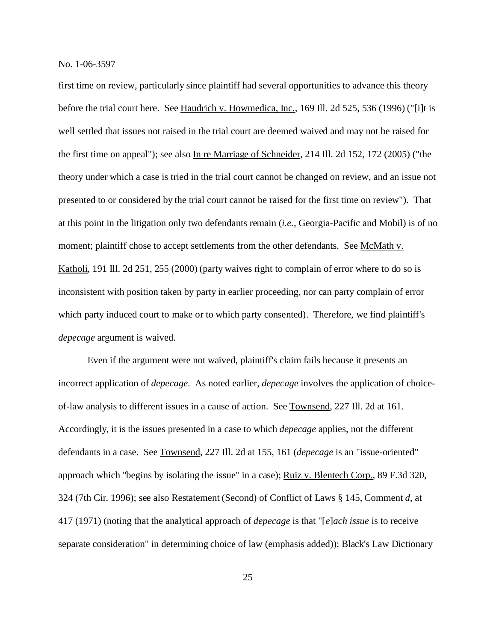first time on review, particularly since plaintiff had several opportunities to advance this theory before the trial court here. See Haudrich v. Howmedica, Inc., 169 Ill. 2d 525, 536 (1996) ("[i]t is well settled that issues not raised in the trial court are deemed waived and may not be raised for the first time on appeal"); see also In re Marriage of Schneider, 214 Ill. 2d 152, 172 (2005) ("the theory under which a case is tried in the trial court cannot be changed on review, and an issue not presented to or considered by the trial court cannot be raised for the first time on review"). That at this point in the litigation only two defendants remain (*i.e.*, Georgia-Pacific and Mobil) is of no moment; plaintiff chose to accept settlements from the other defendants. See McMath v. Katholi, 191 Ill. 2d 251, 255 (2000) (party waives right to complain of error where to do so is inconsistent with position taken by party in earlier proceeding, nor can party complain of error which party induced court to make or to which party consented). Therefore, we find plaintiff's *depecage* argument is waived.

Even if the argument were not waived, plaintiff's claim fails because it presents an incorrect application of *depecage*. As noted earlier, *depecage* involves the application of choiceof-law analysis to different issues in a cause of action. See Townsend, 227 Ill. 2d at 161. Accordingly, it is the issues presented in a case to which *depecage* applies, not the different defendants in a case. See Townsend, 227 Ill. 2d at 155, 161 (*depecage* is an "issue-oriented" approach which "begins by isolating the issue" in a case); Ruiz v. Blentech Corp., 89 F.3d 320, 324 (7th Cir. 1996); see also Restatement (Second) of Conflict of Laws § 145, Comment *d*, at 417 (1971) (noting that the analytical approach of *depecage* is that "[*e*]*ach issue* is to receive separate consideration" in determining choice of law (emphasis added)); Black's Law Dictionary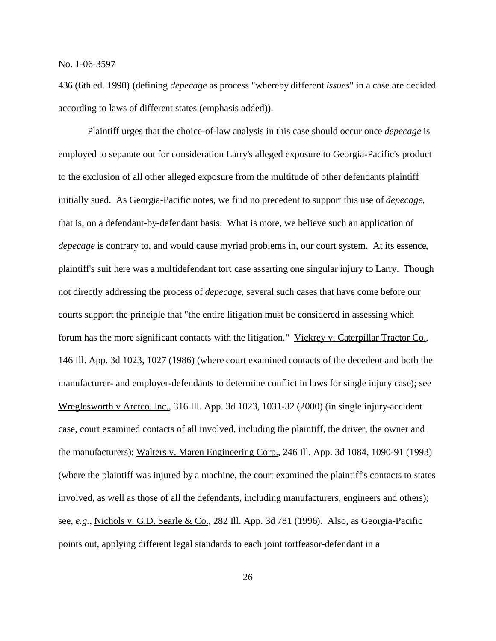436 (6th ed. 1990) (defining *depecage* as process "whereby different *issues*" in a case are decided according to laws of different states (emphasis added)).

Plaintiff urges that the choice-of-law analysis in this case should occur once *depecage* is employed to separate out for consideration Larry's alleged exposure to Georgia-Pacific's product to the exclusion of all other alleged exposure from the multitude of other defendants plaintiff initially sued. As Georgia-Pacific notes, we find no precedent to support this use of *depecage*, that is, on a defendant-by-defendant basis. What is more, we believe such an application of *depecage* is contrary to, and would cause myriad problems in, our court system. At its essence, plaintiff's suit here was a multidefendant tort case asserting one singular injury to Larry. Though not directly addressing the process of *depecage*, several such cases that have come before our courts support the principle that "the entire litigation must be considered in assessing which forum has the more significant contacts with the litigation." Vickrey v. Caterpillar Tractor Co., 146 Ill. App. 3d 1023, 1027 (1986) (where court examined contacts of the decedent and both the manufacturer- and employer-defendants to determine conflict in laws for single injury case); see Wreglesworth v Arctco, Inc., 316 Ill. App. 3d 1023, 1031-32 (2000) (in single injury-accident case, court examined contacts of all involved, including the plaintiff, the driver, the owner and the manufacturers); Walters v. Maren Engineering Corp., 246 Ill. App. 3d 1084, 1090-91 (1993) (where the plaintiff was injured by a machine, the court examined the plaintiff's contacts to states involved, as well as those of all the defendants, including manufacturers, engineers and others); see, *e.g.*, Nichols v. G.D. Searle & Co., 282 Ill. App. 3d 781 (1996). Also, as Georgia-Pacific points out, applying different legal standards to each joint tortfeasor-defendant in a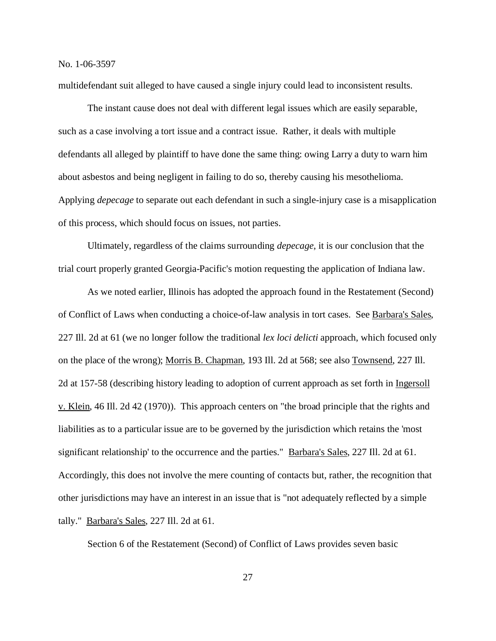multidefendant suit alleged to have caused a single injury could lead to inconsistent results.

The instant cause does not deal with different legal issues which are easily separable, such as a case involving a tort issue and a contract issue. Rather, it deals with multiple defendants all alleged by plaintiff to have done the same thing: owing Larry a duty to warn him about asbestos and being negligent in failing to do so, thereby causing his mesothelioma. Applying *depecage* to separate out each defendant in such a single-injury case is a misapplication of this process, which should focus on issues, not parties.

Ultimately, regardless of the claims surrounding *depecage*, it is our conclusion that the trial court properly granted Georgia-Pacific's motion requesting the application of Indiana law.

As we noted earlier, Illinois has adopted the approach found in the Restatement (Second) of Conflict of Laws when conducting a choice-of-law analysis in tort cases. See Barbara's Sales, 227 Ill. 2d at 61 (we no longer follow the traditional *lex loci delicti* approach, which focused only on the place of the wrong); Morris B. Chapman, 193 Ill. 2d at 568; see also Townsend, 227 Ill. 2d at 157-58 (describing history leading to adoption of current approach as set forth in Ingersoll v. Klein, 46 Ill. 2d 42 (1970)). This approach centers on "the broad principle that the rights and liabilities as to a particular issue are to be governed by the jurisdiction which retains the 'most significant relationship' to the occurrence and the parties." Barbara's Sales, 227 Ill. 2d at 61. Accordingly, this does not involve the mere counting of contacts but, rather, the recognition that other jurisdictions may have an interest in an issue that is "not adequately reflected by a simple tally." Barbara's Sales, 227 Ill. 2d at 61.

Section 6 of the Restatement (Second) of Conflict of Laws provides seven basic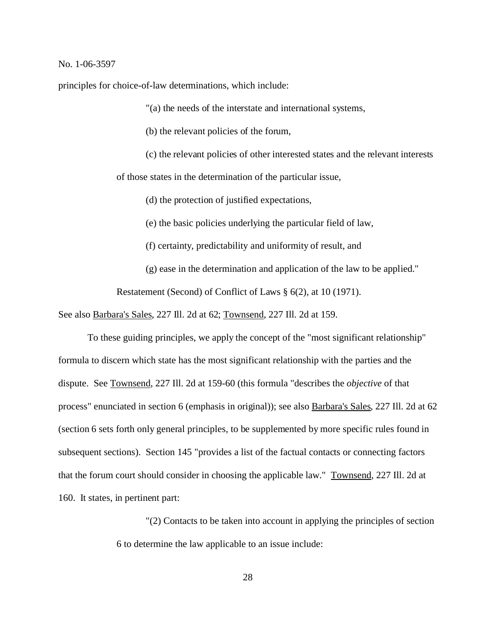principles for choice-of-law determinations, which include:

"(a) the needs of the interstate and international systems,

(b) the relevant policies of the forum,

(c) the relevant policies of other interested states and the relevant interests of those states in the determination of the particular issue,

(d) the protection of justified expectations,

(e) the basic policies underlying the particular field of law,

(f) certainty, predictability and uniformity of result, and

(g) ease in the determination and application of the law to be applied."

Restatement (Second) of Conflict of Laws § 6(2), at 10 (1971).

See also Barbara's Sales, 227 Ill. 2d at 62; Townsend, 227 Ill. 2d at 159.

To these guiding principles, we apply the concept of the "most significant relationship" formula to discern which state has the most significant relationship with the parties and the dispute. See Townsend, 227 Ill. 2d at 159-60 (this formula "describes the *objective* of that process" enunciated in section 6 (emphasis in original)); see also Barbara's Sales, 227 Ill. 2d at 62 (section 6 sets forth only general principles, to be supplemented by more specific rules found in subsequent sections). Section 145 "provides a list of the factual contacts or connecting factors that the forum court should consider in choosing the applicable law." Townsend, 227 Ill. 2d at 160. It states, in pertinent part:

> "(2) Contacts to be taken into account in applying the principles of section 6 to determine the law applicable to an issue include: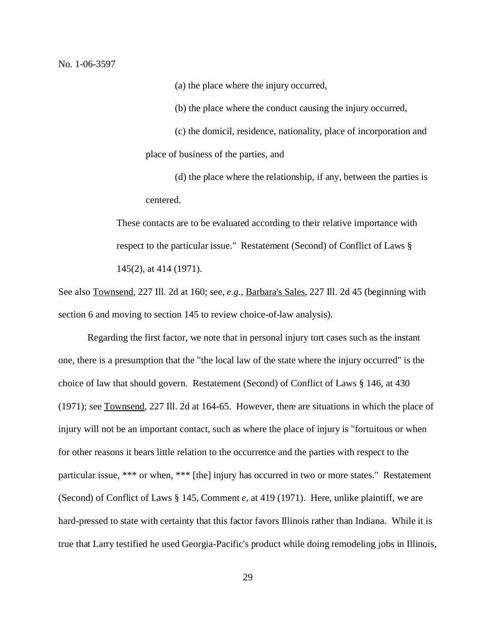(a) the place where the injury occurred,

(b) the place where the conduct causing the injury occurred,

(c) the domicil, residence, nationality, place of incorporation and place of business of the parties, and

(d) the place where the relationship, if any, between the parties is centered.

These contacts are to be evaluated according to their relative importance with respect to the particular issue." Restatement (Second) of Conflict of Laws § 145(2), at 414 (1971).

See also Townsend, 227 Ill. 2d at 160; see, *e.g.*, Barbara's Sales, 227 Ill. 2d 45 (beginning with section 6 and moving to section 145 to review choice-of-law analysis).

Regarding the first factor, we note that in personal injury tort cases such as the instant one, there is a presumption that the "the local law of the state where the injury occurred" is the choice of law that should govern. Restatement (Second) of Conflict of Laws § 146, at 430 (1971); see Townsend, 227 Ill. 2d at 164-65. However, there are situations in which the place of injury will not be an important contact, such as where the place of injury is "fortuitous or when for other reasons it bears little relation to the occurrence and the parties with respect to the particular issue, \*\*\* or when, \*\*\* [the] injury has occurred in two or more states." Restatement (Second) of Conflict of Laws § 145, Comment *e*, at 419 (1971). Here, unlike plaintiff, we are hard-pressed to state with certainty that this factor favors Illinois rather than Indiana. While it is true that Larry testified he used Georgia-Pacific's product while doing remodeling jobs in Illinois,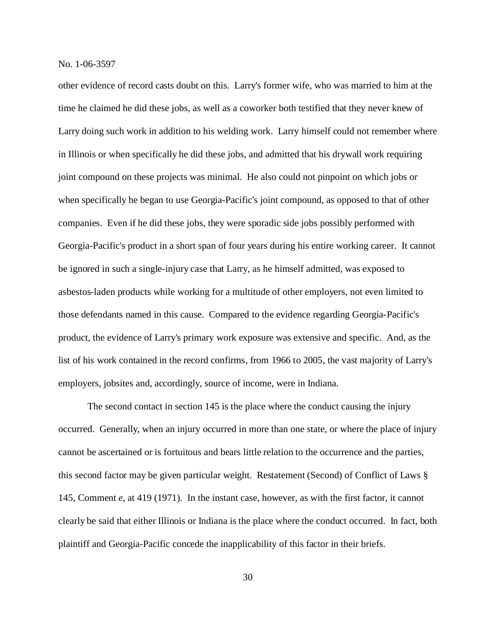other evidence of record casts doubt on this. Larry's former wife, who was married to him at the time he claimed he did these jobs, as well as a coworker both testified that they never knew of Larry doing such work in addition to his welding work. Larry himself could not remember where in Illinois or when specifically he did these jobs, and admitted that his drywall work requiring joint compound on these projects was minimal. He also could not pinpoint on which jobs or when specifically he began to use Georgia-Pacific's joint compound, as opposed to that of other companies. Even if he did these jobs, they were sporadic side jobs possibly performed with Georgia-Pacific's product in a short span of four years during his entire working career. It cannot be ignored in such a single-injury case that Larry, as he himself admitted, was exposed to asbestos-laden products while working for a multitude of other employers, not even limited to those defendants named in this cause. Compared to the evidence regarding Georgia-Pacific's product, the evidence of Larry's primary work exposure was extensive and specific. And, as the list of his work contained in the record confirms, from 1966 to 2005, the vast majority of Larry's employers, jobsites and, accordingly, source of income, were in Indiana.

The second contact in section 145 is the place where the conduct causing the injury occurred. Generally, when an injury occurred in more than one state, or where the place of injury cannot be ascertained or is fortuitous and bears little relation to the occurrence and the parties, this second factor may be given particular weight. Restatement (Second) of Conflict of Laws § 145, Comment *e*, at 419 (1971). In the instant case, however, as with the first factor, it cannot clearly be said that either Illinois or Indiana is the place where the conduct occurred. In fact, both plaintiff and Georgia-Pacific concede the inapplicability of this factor in their briefs.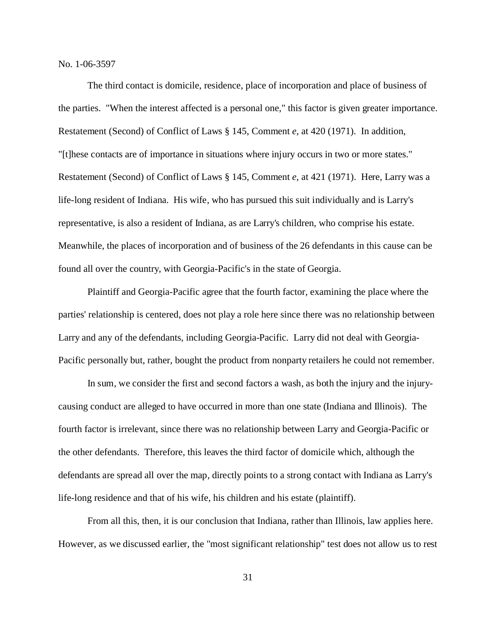The third contact is domicile, residence, place of incorporation and place of business of the parties. "When the interest affected is a personal one," this factor is given greater importance. Restatement (Second) of Conflict of Laws § 145, Comment *e*, at 420 (1971). In addition, "[t]hese contacts are of importance in situations where injury occurs in two or more states." Restatement (Second) of Conflict of Laws § 145, Comment *e*, at 421 (1971). Here, Larry was a life-long resident of Indiana. His wife, who has pursued this suit individually and is Larry's representative, is also a resident of Indiana, as are Larry's children, who comprise his estate. Meanwhile, the places of incorporation and of business of the 26 defendants in this cause can be found all over the country, with Georgia-Pacific's in the state of Georgia.

Plaintiff and Georgia-Pacific agree that the fourth factor, examining the place where the parties' relationship is centered, does not play a role here since there was no relationship between Larry and any of the defendants, including Georgia-Pacific. Larry did not deal with Georgia-Pacific personally but, rather, bought the product from nonparty retailers he could not remember.

In sum, we consider the first and second factors a wash, as both the injury and the injurycausing conduct are alleged to have occurred in more than one state (Indiana and Illinois). The fourth factor is irrelevant, since there was no relationship between Larry and Georgia-Pacific or the other defendants. Therefore, this leaves the third factor of domicile which, although the defendants are spread all over the map, directly points to a strong contact with Indiana as Larry's life-long residence and that of his wife, his children and his estate (plaintiff).

From all this, then, it is our conclusion that Indiana, rather than Illinois, law applies here. However, as we discussed earlier, the "most significant relationship" test does not allow us to rest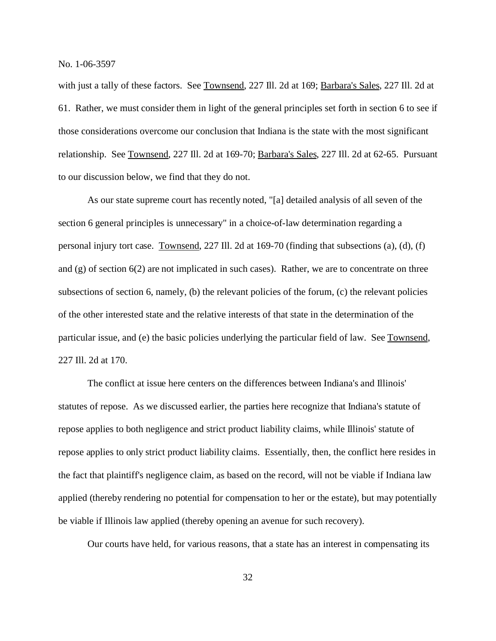with just a tally of these factors. See Townsend, 227 Ill. 2d at 169; Barbara's Sales, 227 Ill. 2d at 61. Rather, we must consider them in light of the general principles set forth in section 6 to see if those considerations overcome our conclusion that Indiana is the state with the most significant relationship. See Townsend, 227 Ill. 2d at 169-70; Barbara's Sales, 227 Ill. 2d at 62-65. Pursuant to our discussion below, we find that they do not.

As our state supreme court has recently noted, "[a] detailed analysis of all seven of the section 6 general principles is unnecessary" in a choice-of-law determination regarding a personal injury tort case. Townsend, 227 Ill. 2d at 169-70 (finding that subsections (a), (d), (f) and  $(g)$  of section  $6(2)$  are not implicated in such cases). Rather, we are to concentrate on three subsections of section 6, namely, (b) the relevant policies of the forum, (c) the relevant policies of the other interested state and the relative interests of that state in the determination of the particular issue, and (e) the basic policies underlying the particular field of law. See Townsend, 227 Ill. 2d at 170.

The conflict at issue here centers on the differences between Indiana's and Illinois' statutes of repose. As we discussed earlier, the parties here recognize that Indiana's statute of repose applies to both negligence and strict product liability claims, while Illinois' statute of repose applies to only strict product liability claims. Essentially, then, the conflict here resides in the fact that plaintiff's negligence claim, as based on the record, will not be viable if Indiana law applied (thereby rendering no potential for compensation to her or the estate), but may potentially be viable if Illinois law applied (thereby opening an avenue for such recovery).

Our courts have held, for various reasons, that a state has an interest in compensating its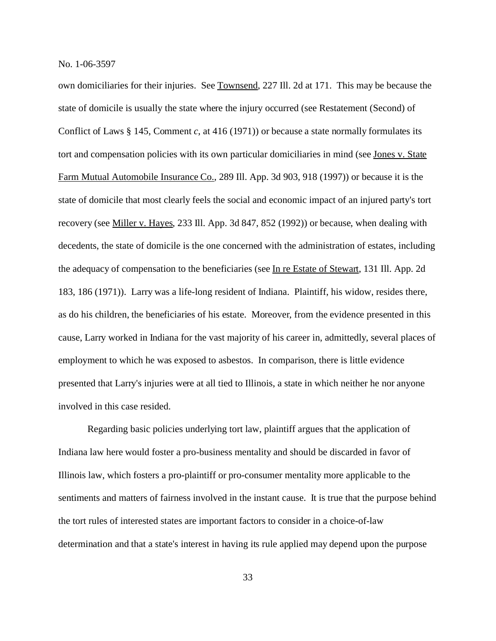own domiciliaries for their injuries. See Townsend, 227 Ill. 2d at 171. This may be because the state of domicile is usually the state where the injury occurred (see Restatement (Second) of Conflict of Laws § 145, Comment *c*, at 416 (1971)) or because a state normally formulates its tort and compensation policies with its own particular domiciliaries in mind (see Jones v. State Farm Mutual Automobile Insurance Co., 289 Ill. App. 3d 903, 918 (1997)) or because it is the state of domicile that most clearly feels the social and economic impact of an injured party's tort recovery (see Miller v. Hayes, 233 Ill. App. 3d 847, 852 (1992)) or because, when dealing with decedents, the state of domicile is the one concerned with the administration of estates, including the adequacy of compensation to the beneficiaries (see In re Estate of Stewart, 131 Ill. App. 2d 183, 186 (1971)). Larry was a life-long resident of Indiana. Plaintiff, his widow, resides there, as do his children, the beneficiaries of his estate. Moreover, from the evidence presented in this cause, Larry worked in Indiana for the vast majority of his career in, admittedly, several places of employment to which he was exposed to asbestos. In comparison, there is little evidence presented that Larry's injuries were at all tied to Illinois, a state in which neither he nor anyone involved in this case resided.

Regarding basic policies underlying tort law, plaintiff argues that the application of Indiana law here would foster a pro-business mentality and should be discarded in favor of Illinois law, which fosters a pro-plaintiff or pro-consumer mentality more applicable to the sentiments and matters of fairness involved in the instant cause. It is true that the purpose behind the tort rules of interested states are important factors to consider in a choice-of-law determination and that a state's interest in having its rule applied may depend upon the purpose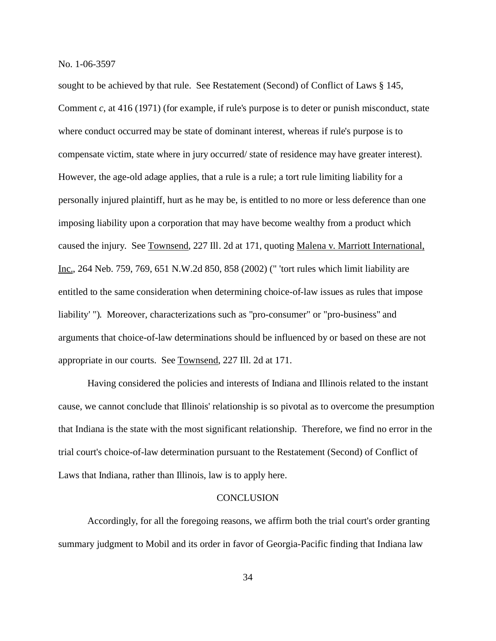sought to be achieved by that rule. See Restatement (Second) of Conflict of Laws § 145, Comment *c*, at 416 (1971) (for example, if rule's purpose is to deter or punish misconduct, state where conduct occurred may be state of dominant interest, whereas if rule's purpose is to compensate victim, state where in jury occurred/ state of residence may have greater interest). However, the age-old adage applies, that a rule is a rule; a tort rule limiting liability for a personally injured plaintiff, hurt as he may be, is entitled to no more or less deference than one imposing liability upon a corporation that may have become wealthy from a product which caused the injury. See Townsend, 227 Ill. 2d at 171, quoting Malena v. Marriott International, Inc., 264 Neb. 759, 769, 651 N.W.2d 850, 858 (2002) (" 'tort rules which limit liability are entitled to the same consideration when determining choice-of-law issues as rules that impose liability' "). Moreover, characterizations such as "pro-consumer" or "pro-business" and arguments that choice-of-law determinations should be influenced by or based on these are not appropriate in our courts. See Townsend, 227 Ill. 2d at 171.

Having considered the policies and interests of Indiana and Illinois related to the instant cause, we cannot conclude that Illinois' relationship is so pivotal as to overcome the presumption that Indiana is the state with the most significant relationship. Therefore, we find no error in the trial court's choice-of-law determination pursuant to the Restatement (Second) of Conflict of Laws that Indiana, rather than Illinois, law is to apply here.

# **CONCLUSION**

Accordingly, for all the foregoing reasons, we affirm both the trial court's order granting summary judgment to Mobil and its order in favor of Georgia-Pacific finding that Indiana law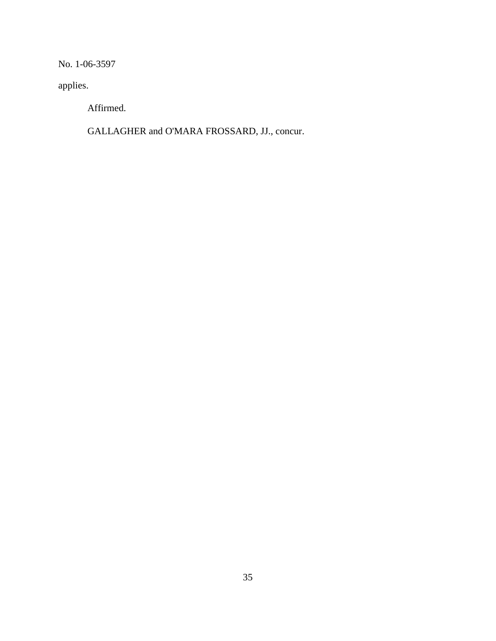applies.

Affirmed.

GALLAGHER and O'MARA FROSSARD, JJ., concur.